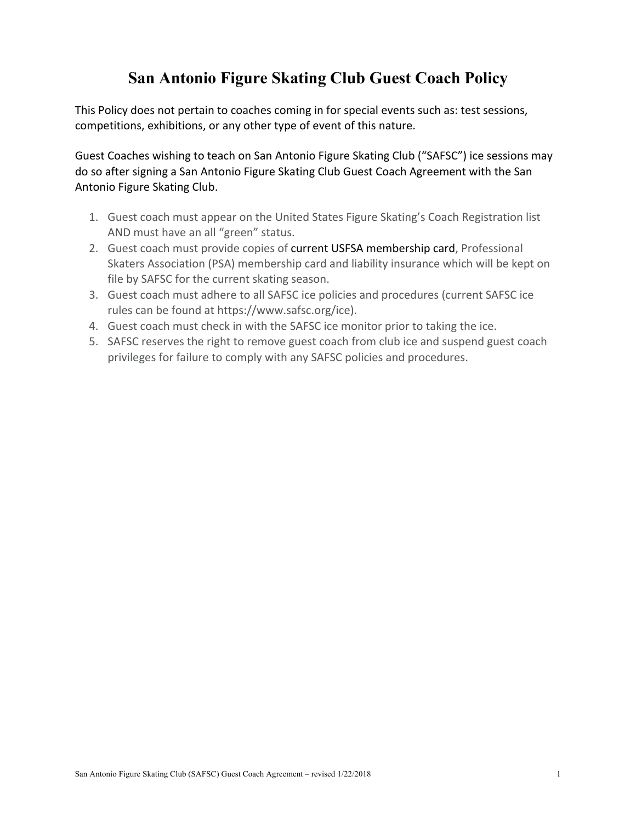# **San Antonio Figure Skating Club Guest Coach Policy**

This Policy does not pertain to coaches coming in for special events such as: test sessions, competitions, exhibitions, or any other type of event of this nature.

Guest Coaches wishing to teach on San Antonio Figure Skating Club ("SAFSC") ice sessions may do so after signing a San Antonio Figure Skating Club Guest Coach Agreement with the San Antonio Figure Skating Club.

- 1. Guest coach must appear on the United States Figure Skating's Coach Registration list AND must have an all "green" status.
- 2. Guest coach must provide copies of current USFSA membership card, Professional Skaters Association (PSA) membership card and liability insurance which will be kept on file by SAFSC for the current skating season.
- 3. Guest coach must adhere to all SAFSC ice policies and procedures (current SAFSC ice rules can be found at https://www.safsc.org/ice).
- 4. Guest coach must check in with the SAFSC ice monitor prior to taking the ice.
- 5. SAFSC reserves the right to remove guest coach from club ice and suspend guest coach privileges for failure to comply with any SAFSC policies and procedures.